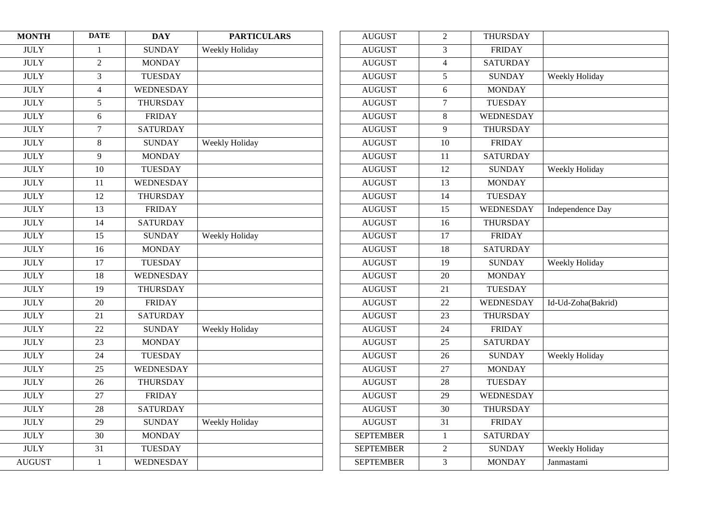| <b>MONTH</b>  | <b>DATE</b>     | <b>DAY</b>       | <b>PARTICULARS</b> | <b>AUGUST</b>    | 2                | <b>THU</b>               |
|---------------|-----------------|------------------|--------------------|------------------|------------------|--------------------------|
| <b>JULY</b>   | 1               | <b>SUNDAY</b>    | Weekly Holiday     | <b>AUGUST</b>    | 3                | F <sub>F</sub>           |
| <b>JULY</b>   | $\overline{2}$  | <b>MONDAY</b>    |                    | <b>AUGUST</b>    | $\overline{4}$   | <b>SAT</b>               |
| <b>JULY</b>   | 3               | <b>TUESDAY</b>   |                    | <b>AUGUST</b>    | 5                | SU                       |
| <b>JULY</b>   | $\overline{4}$  | <b>WEDNESDAY</b> |                    | <b>AUGUST</b>    | 6                | <b>MC</b>                |
| <b>JULY</b>   | $\overline{5}$  | <b>THURSDAY</b>  |                    | <b>AUGUST</b>    | $\boldsymbol{7}$ | TUI                      |
| <b>JULY</b>   | 6               | <b>FRIDAY</b>    |                    | <b>AUGUST</b>    | 8                | <b>WED</b>               |
| <b>JULY</b>   | $\overline{7}$  | <b>SATURDAY</b>  |                    | <b>AUGUST</b>    | $\overline{9}$   | <b>THU</b>               |
| <b>JULY</b>   | 8               | <b>SUNDAY</b>    | Weekly Holiday     | <b>AUGUST</b>    | 10               | FF                       |
| <b>JULY</b>   | $\overline{9}$  | <b>MONDAY</b>    |                    | <b>AUGUST</b>    | 11               | <b>SAT</b>               |
| <b>JULY</b>   | 10              | <b>TUESDAY</b>   |                    | <b>AUGUST</b>    | 12               | SU                       |
| <b>JULY</b>   | 11              | WEDNESDAY        |                    | <b>AUGUST</b>    | 13               | MC                       |
| <b>JULY</b>   | 12              | <b>THURSDAY</b>  |                    | <b>AUGUST</b>    | 14               | TUI                      |
| <b>JULY</b>   | 13              | <b>FRIDAY</b>    |                    | <b>AUGUST</b>    | 15               | <b>WED</b>               |
| <b>JULY</b>   | 14              | <b>SATURDAY</b>  |                    | <b>AUGUST</b>    | 16               | <b>THU</b>               |
| <b>JULY</b>   | 15              | <b>SUNDAY</b>    | Weekly Holiday     | <b>AUGUST</b>    | $\overline{17}$  | F <sub>F</sub>           |
| <b>JULY</b>   | 16              | <b>MONDAY</b>    |                    | <b>AUGUST</b>    | 18               | <b>SAT</b>               |
| <b>JULY</b>   | 17              | <b>TUESDAY</b>   |                    | <b>AUGUST</b>    | 19               | $\overline{\mathrm{SU}}$ |
| <b>JULY</b>   | 18              | WEDNESDAY        |                    | <b>AUGUST</b>    | 20               | MC                       |
| <b>JULY</b>   | 19              | <b>THURSDAY</b>  |                    | <b>AUGUST</b>    | 21               | TUI                      |
| <b>JULY</b>   | 20              | <b>FRIDAY</b>    |                    | <b>AUGUST</b>    | 22               | <b>WED</b>               |
| <b>JULY</b>   | 21              | <b>SATURDAY</b>  |                    | <b>AUGUST</b>    | 23               | <b>THU</b>               |
| <b>JULY</b>   | 22              | <b>SUNDAY</b>    | Weekly Holiday     | <b>AUGUST</b>    | 24               | F <sub>F</sub>           |
| <b>JULY</b>   | $\overline{23}$ | <b>MONDAY</b>    |                    | <b>AUGUST</b>    | $\overline{25}$  | <b>SAT</b>               |
| <b>JULY</b>   | 24              | <b>TUESDAY</b>   |                    | <b>AUGUST</b>    | 26               | SU                       |
| <b>JULY</b>   | 25              | <b>WEDNESDAY</b> |                    | <b>AUGUST</b>    | 27               | MC                       |
| <b>JULY</b>   | 26              | <b>THURSDAY</b>  |                    | <b>AUGUST</b>    | 28               | TUI                      |
| <b>JULY</b>   | 27              | <b>FRIDAY</b>    |                    | <b>AUGUST</b>    | 29               | <b>WED</b>               |
| <b>JULY</b>   | 28              | <b>SATURDAY</b>  |                    | <b>AUGUST</b>    | 30               | <b>THU</b>               |
| <b>JULY</b>   | 29              | <b>SUNDAY</b>    | Weekly Holiday     | <b>AUGUST</b>    | 31               | F <sub>F</sub>           |
| <b>JULY</b>   | 30              | <b>MONDAY</b>    |                    | <b>SEPTEMBER</b> | $\mathbf{1}$     | <b>SAT</b>               |
| <b>JULY</b>   | $\overline{31}$ | <b>TUESDAY</b>   |                    | <b>SEPTEMBER</b> | $\overline{2}$   | $\overline{\rm SU}$      |
| <b>AUGUST</b> | $\mathbf{1}$    | <b>WEDNESDAY</b> |                    | <b>SEPTEMBER</b> | 3                | MC                       |
|               |                 |                  |                    |                  |                  |                          |

| <b>AUGUST</b>    | $\overline{2}$ | <b>THURSDAY</b> |                       |
|------------------|----------------|-----------------|-----------------------|
| <b>AUGUST</b>    | $\overline{3}$ | <b>FRIDAY</b>   |                       |
| <b>AUGUST</b>    | $\overline{4}$ | <b>SATURDAY</b> |                       |
| <b>AUGUST</b>    | 5              | <b>SUNDAY</b>   | Weekly Holiday        |
| <b>AUGUST</b>    | 6              | <b>MONDAY</b>   |                       |
| <b>AUGUST</b>    | $\tau$         | <b>TUESDAY</b>  |                       |
| <b>AUGUST</b>    | $\overline{8}$ | WEDNESDAY       |                       |
| <b>AUGUST</b>    | 9              | <b>THURSDAY</b> |                       |
| <b>AUGUST</b>    | 10             | <b>FRIDAY</b>   |                       |
| <b>AUGUST</b>    | 11             | <b>SATURDAY</b> |                       |
| <b>AUGUST</b>    | 12             | <b>SUNDAY</b>   | Weekly Holiday        |
| <b>AUGUST</b>    | 13             | <b>MONDAY</b>   |                       |
| <b>AUGUST</b>    | 14             | <b>TUESDAY</b>  |                       |
| <b>AUGUST</b>    | 15             | WEDNESDAY       | Independence Day      |
| <b>AUGUST</b>    | 16             | <b>THURSDAY</b> |                       |
| <b>AUGUST</b>    | 17             | <b>FRIDAY</b>   |                       |
| <b>AUGUST</b>    | 18             | <b>SATURDAY</b> |                       |
| <b>AUGUST</b>    | 19             | <b>SUNDAY</b>   | Weekly Holiday        |
| <b>AUGUST</b>    | 20             | <b>MONDAY</b>   |                       |
| <b>AUGUST</b>    | 21             | <b>TUESDAY</b>  |                       |
| <b>AUGUST</b>    | 22             | WEDNESDAY       | Id-Ud-Zoha(Bakrid)    |
| <b>AUGUST</b>    | 23             | <b>THURSDAY</b> |                       |
| <b>AUGUST</b>    | 24             | <b>FRIDAY</b>   |                       |
| <b>AUGUST</b>    | 25             | <b>SATURDAY</b> |                       |
| <b>AUGUST</b>    | 26             | <b>SUNDAY</b>   | Weekly Holiday        |
| <b>AUGUST</b>    | 27             | <b>MONDAY</b>   |                       |
| <b>AUGUST</b>    | 28             | <b>TUESDAY</b>  |                       |
| <b>AUGUST</b>    | 29             | WEDNESDAY       |                       |
| <b>AUGUST</b>    | 30             | <b>THURSDAY</b> |                       |
| <b>AUGUST</b>    | 31             | <b>FRIDAY</b>   |                       |
| <b>SEPTEMBER</b> | 1              | <b>SATURDAY</b> |                       |
| <b>SEPTEMBER</b> | $\overline{2}$ | <b>SUNDAY</b>   | <b>Weekly Holiday</b> |
| <b>SEPTEMBER</b> | $\overline{3}$ | <b>MONDAY</b>   | Janmastami            |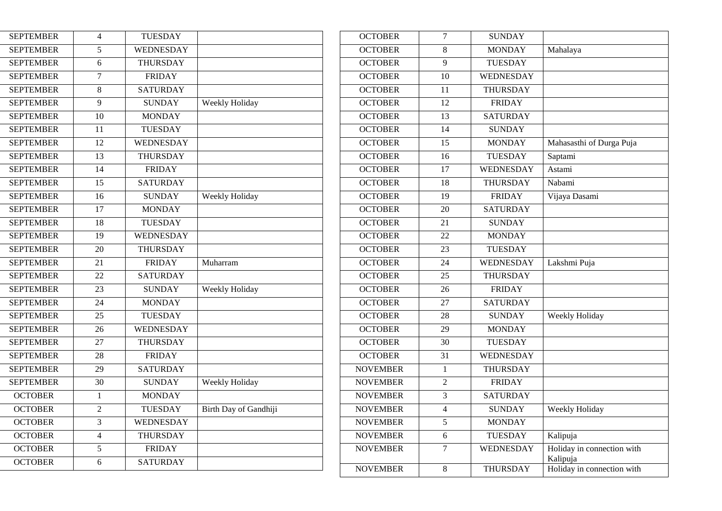| <b>SEPTEMBER</b> | $\overline{4}$ | <b>TUESDAY</b>   |                       | <b>OCTOBER</b>  |
|------------------|----------------|------------------|-----------------------|-----------------|
| <b>SEPTEMBER</b> | 5              | WEDNESDAY        |                       | <b>OCTOBER</b>  |
| <b>SEPTEMBER</b> | 6              | THURSDAY         |                       | <b>OCTOBER</b>  |
| <b>SEPTEMBER</b> | $\tau$         | <b>FRIDAY</b>    |                       | <b>OCTOBER</b>  |
| <b>SEPTEMBER</b> | 8              | <b>SATURDAY</b>  |                       | <b>OCTOBER</b>  |
| <b>SEPTEMBER</b> | $\overline{9}$ | <b>SUNDAY</b>    | <b>Weekly Holiday</b> | <b>OCTOBER</b>  |
| <b>SEPTEMBER</b> | 10             | <b>MONDAY</b>    |                       | <b>OCTOBER</b>  |
| <b>SEPTEMBER</b> | 11             | <b>TUESDAY</b>   |                       | <b>OCTOBER</b>  |
| <b>SEPTEMBER</b> | 12             | <b>WEDNESDAY</b> |                       | <b>OCTOBER</b>  |
| <b>SEPTEMBER</b> | 13             | <b>THURSDAY</b>  |                       | <b>OCTOBER</b>  |
| <b>SEPTEMBER</b> | 14             | <b>FRIDAY</b>    |                       | <b>OCTOBER</b>  |
| <b>SEPTEMBER</b> | 15             | <b>SATURDAY</b>  |                       | <b>OCTOBER</b>  |
| <b>SEPTEMBER</b> | 16             | <b>SUNDAY</b>    | Weekly Holiday        | <b>OCTOBER</b>  |
| <b>SEPTEMBER</b> | 17             | <b>MONDAY</b>    |                       | <b>OCTOBER</b>  |
| <b>SEPTEMBER</b> | 18             | <b>TUESDAY</b>   |                       | <b>OCTOBER</b>  |
| <b>SEPTEMBER</b> | 19             | WEDNESDAY        |                       | <b>OCTOBER</b>  |
| <b>SEPTEMBER</b> | 20             | <b>THURSDAY</b>  |                       | <b>OCTOBER</b>  |
| <b>SEPTEMBER</b> | 21             | <b>FRIDAY</b>    | Muharram              | <b>OCTOBER</b>  |
| <b>SEPTEMBER</b> | 22             | <b>SATURDAY</b>  |                       | <b>OCTOBER</b>  |
| <b>SEPTEMBER</b> | 23             | <b>SUNDAY</b>    | Weekly Holiday        | <b>OCTOBER</b>  |
| <b>SEPTEMBER</b> | 24             | <b>MONDAY</b>    |                       | <b>OCTOBER</b>  |
| <b>SEPTEMBER</b> | 25             | <b>TUESDAY</b>   |                       | <b>OCTOBER</b>  |
| <b>SEPTEMBER</b> | 26             | WEDNESDAY        |                       | <b>OCTOBER</b>  |
| <b>SEPTEMBER</b> | 27             | <b>THURSDAY</b>  |                       | <b>OCTOBER</b>  |
| <b>SEPTEMBER</b> | 28             | <b>FRIDAY</b>    |                       | <b>OCTOBER</b>  |
| <b>SEPTEMBER</b> | 29             | <b>SATURDAY</b>  |                       | <b>NOVEMBER</b> |
| <b>SEPTEMBER</b> | 30             | <b>SUNDAY</b>    | <b>Weekly Holiday</b> | <b>NOVEMBER</b> |
| <b>OCTOBER</b>   | $\mathbf{1}$   | <b>MONDAY</b>    |                       | <b>NOVEMBER</b> |
| <b>OCTOBER</b>   | $\overline{2}$ | <b>TUESDAY</b>   | Birth Day of Gandhiji | <b>NOVEMBER</b> |
| <b>OCTOBER</b>   | 3              | <b>WEDNESDAY</b> |                       | <b>NOVEMBER</b> |
| <b>OCTOBER</b>   | $\overline{4}$ | <b>THURSDAY</b>  |                       | <b>NOVEMBER</b> |
| <b>OCTOBER</b>   | 5              | <b>FRIDAY</b>    |                       | <b>NOVEMBER</b> |
| <b>OCTOBER</b>   | 6              | <b>SATURDAY</b>  |                       | <b>NOVEMBER</b> |
|                  |                |                  |                       |                 |

| <b>OCTOBER</b>  | 7              | <b>SUNDAY</b>    |                                        |
|-----------------|----------------|------------------|----------------------------------------|
| <b>OCTOBER</b>  | 8              | <b>MONDAY</b>    | Mahalaya                               |
| <b>OCTOBER</b>  | 9              | <b>TUESDAY</b>   |                                        |
| <b>OCTOBER</b>  | 10             | WEDNESDAY        |                                        |
| <b>OCTOBER</b>  | 11             | <b>THURSDAY</b>  |                                        |
| <b>OCTOBER</b>  | 12             | <b>FRIDAY</b>    |                                        |
| <b>OCTOBER</b>  | 13             | <b>SATURDAY</b>  |                                        |
| <b>OCTOBER</b>  | 14             | <b>SUNDAY</b>    |                                        |
| <b>OCTOBER</b>  | 15             | <b>MONDAY</b>    | Mahasasthi of Durga Puja               |
| <b>OCTOBER</b>  | 16             | <b>TUESDAY</b>   | Saptami                                |
| <b>OCTOBER</b>  | 17             | WEDNESDAY        | Astami                                 |
| <b>OCTOBER</b>  | 18             | <b>THURSDAY</b>  | Nabami                                 |
| <b>OCTOBER</b>  | 19             | <b>FRIDAY</b>    | Vijaya Dasami                          |
| <b>OCTOBER</b>  | 20             | <b>SATURDAY</b>  |                                        |
| <b>OCTOBER</b>  | 21             | <b>SUNDAY</b>    |                                        |
| <b>OCTOBER</b>  | 22             | <b>MONDAY</b>    |                                        |
| <b>OCTOBER</b>  | 23             | <b>TUESDAY</b>   |                                        |
| <b>OCTOBER</b>  | 24             | WEDNESDAY        | Lakshmi Puja                           |
| <b>OCTOBER</b>  | 25             | <b>THURSDAY</b>  |                                        |
| <b>OCTOBER</b>  | 26             | <b>FRIDAY</b>    |                                        |
| <b>OCTOBER</b>  | 27             | <b>SATURDAY</b>  |                                        |
| <b>OCTOBER</b>  | 28             | <b>SUNDAY</b>    | Weekly Holiday                         |
| <b>OCTOBER</b>  | 29             | <b>MONDAY</b>    |                                        |
| <b>OCTOBER</b>  | 30             | <b>TUESDAY</b>   |                                        |
| <b>OCTOBER</b>  | 31             | <b>WEDNESDAY</b> |                                        |
| <b>NOVEMBER</b> | $\mathbf{1}$   | <b>THURSDAY</b>  |                                        |
| <b>NOVEMBER</b> | $\overline{2}$ | <b>FRIDAY</b>    |                                        |
| <b>NOVEMBER</b> | $\overline{3}$ | <b>SATURDAY</b>  |                                        |
| <b>NOVEMBER</b> | $\overline{4}$ | <b>SUNDAY</b>    | <b>Weekly Holiday</b>                  |
| <b>NOVEMBER</b> | 5              | <b>MONDAY</b>    |                                        |
| <b>NOVEMBER</b> | 6              | <b>TUESDAY</b>   | Kalipuja                               |
| <b>NOVEMBER</b> | $\overline{7}$ | WEDNESDAY        | Holiday in connection with<br>Kalipuja |
| <b>NOVEMBER</b> | $\,8\,$        | <b>THURSDAY</b>  | Holiday in connection with             |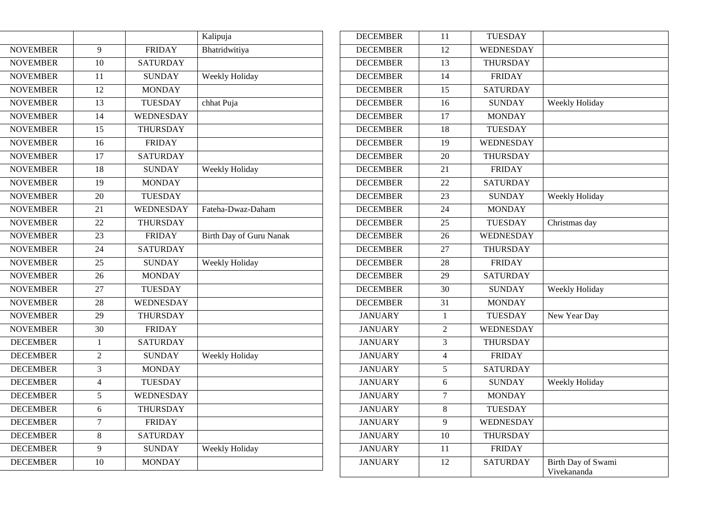|                 |                          |                  | Kalipuja                |
|-----------------|--------------------------|------------------|-------------------------|
| <b>NOVEMBER</b> | 9                        | <b>FRIDAY</b>    | Bhatridwitiya           |
| <b>NOVEMBER</b> | 10                       | <b>SATURDAY</b>  |                         |
| <b>NOVEMBER</b> | 11                       | <b>SUNDAY</b>    | Weekly Holiday          |
| <b>NOVEMBER</b> | 12                       | <b>MONDAY</b>    |                         |
| <b>NOVEMBER</b> | 13                       | <b>TUESDAY</b>   | chhat Puja              |
| <b>NOVEMBER</b> | 14                       | <b>WEDNESDAY</b> |                         |
| <b>NOVEMBER</b> | 15                       | <b>THURSDAY</b>  |                         |
| <b>NOVEMBER</b> | 16                       | <b>FRIDAY</b>    |                         |
| <b>NOVEMBER</b> | 17                       | <b>SATURDAY</b>  |                         |
| <b>NOVEMBER</b> | 18                       | <b>SUNDAY</b>    | Weekly Holiday          |
| <b>NOVEMBER</b> | 19                       | <b>MONDAY</b>    |                         |
| <b>NOVEMBER</b> | 20                       | <b>TUESDAY</b>   |                         |
| <b>NOVEMBER</b> | 21                       | WEDNESDAY        | Fateha-Dwaz-Daham       |
| <b>NOVEMBER</b> | $\overline{22}$          | <b>THURSDAY</b>  |                         |
| <b>NOVEMBER</b> | 23                       | <b>FRIDAY</b>    | Birth Day of Guru Nanak |
| <b>NOVEMBER</b> | 24                       | <b>SATURDAY</b>  |                         |
| <b>NOVEMBER</b> | 25                       | <b>SUNDAY</b>    | Weekly Holiday          |
| <b>NOVEMBER</b> | 26                       | <b>MONDAY</b>    |                         |
| <b>NOVEMBER</b> | 27                       | <b>TUESDAY</b>   |                         |
| <b>NOVEMBER</b> | 28                       | <b>WEDNESDAY</b> |                         |
| <b>NOVEMBER</b> | 29                       | <b>THURSDAY</b>  |                         |
| <b>NOVEMBER</b> | 30                       | <b>FRIDAY</b>    |                         |
| <b>DECEMBER</b> | 1                        | <b>SATURDAY</b>  |                         |
| <b>DECEMBER</b> | $\overline{2}$           | <b>SUNDAY</b>    | Weekly Holiday          |
| <b>DECEMBER</b> | 3                        | <b>MONDAY</b>    |                         |
| <b>DECEMBER</b> | $\overline{\mathcal{L}}$ | <b>TUESDAY</b>   |                         |
| <b>DECEMBER</b> | 5                        | <b>WEDNESDAY</b> |                         |
| <b>DECEMBER</b> | 6                        | <b>THURSDAY</b>  |                         |
| <b>DECEMBER</b> | 7                        | <b>FRIDAY</b>    |                         |
| <b>DECEMBER</b> | 8                        | <b>SATURDAY</b>  |                         |
| <b>DECEMBER</b> | 9                        | <b>SUNDAY</b>    | Weekly Holiday          |
| <b>DECEMBER</b> | 10                       | <b>MONDAY</b>    |                         |
|                 |                          |                  |                         |

| <b>DECEMBER</b> | 11                       | <b>TUESDAY</b>   |                                   |
|-----------------|--------------------------|------------------|-----------------------------------|
| <b>DECEMBER</b> | 12                       | WEDNESDAY        |                                   |
| <b>DECEMBER</b> | 13                       | <b>THURSDAY</b>  |                                   |
| <b>DECEMBER</b> | 14                       | <b>FRIDAY</b>    |                                   |
| <b>DECEMBER</b> | 15                       | <b>SATURDAY</b>  |                                   |
| <b>DECEMBER</b> | 16                       | <b>SUNDAY</b>    | Weekly Holiday                    |
| <b>DECEMBER</b> | 17                       | <b>MONDAY</b>    |                                   |
| <b>DECEMBER</b> | 18                       | <b>TUESDAY</b>   |                                   |
| <b>DECEMBER</b> | 19                       | <b>WEDNESDAY</b> |                                   |
| <b>DECEMBER</b> | 20                       | <b>THURSDAY</b>  |                                   |
| <b>DECEMBER</b> | 21                       | <b>FRIDAY</b>    |                                   |
| <b>DECEMBER</b> | 22                       | <b>SATURDAY</b>  |                                   |
| <b>DECEMBER</b> | 23                       | <b>SUNDAY</b>    | Weekly Holiday                    |
| <b>DECEMBER</b> | 24                       | <b>MONDAY</b>    |                                   |
| <b>DECEMBER</b> | 25                       | <b>TUESDAY</b>   | Christmas day                     |
| <b>DECEMBER</b> | 26                       | <b>WEDNESDAY</b> |                                   |
| <b>DECEMBER</b> | 27                       | <b>THURSDAY</b>  |                                   |
| <b>DECEMBER</b> | $\overline{28}$          | <b>FRIDAY</b>    |                                   |
| <b>DECEMBER</b> | 29                       | <b>SATURDAY</b>  |                                   |
| <b>DECEMBER</b> | 30                       | <b>SUNDAY</b>    | Weekly Holiday                    |
| <b>DECEMBER</b> | 31                       | <b>MONDAY</b>    |                                   |
| <b>JANUARY</b>  | $\mathbf{1}$             | <b>TUESDAY</b>   | New Year Day                      |
| <b>JANUARY</b>  | $\overline{\mathcal{L}}$ | WEDNESDAY        |                                   |
| <b>JANUARY</b>  | $\overline{3}$           | <b>THURSDAY</b>  |                                   |
| <b>JANUARY</b>  | $\overline{\mathcal{L}}$ | <b>FRIDAY</b>    |                                   |
| <b>JANUARY</b>  | 5                        | <b>SATURDAY</b>  |                                   |
| <b>JANUARY</b>  | 6                        | <b>SUNDAY</b>    | Weekly Holiday                    |
| <b>JANUARY</b>  | $\overline{7}$           | <b>MONDAY</b>    |                                   |
| <b>JANUARY</b>  | 8                        | <b>TUESDAY</b>   |                                   |
| <b>JANUARY</b>  | 9                        | <b>WEDNESDAY</b> |                                   |
| <b>JANUARY</b>  | 10                       | <b>THURSDAY</b>  |                                   |
| <b>JANUARY</b>  | 11                       | <b>FRIDAY</b>    |                                   |
| <b>JANUARY</b>  | 12                       | <b>SATURDAY</b>  | Birth Day of Swami<br>Vivekananda |
|                 |                          |                  |                                   |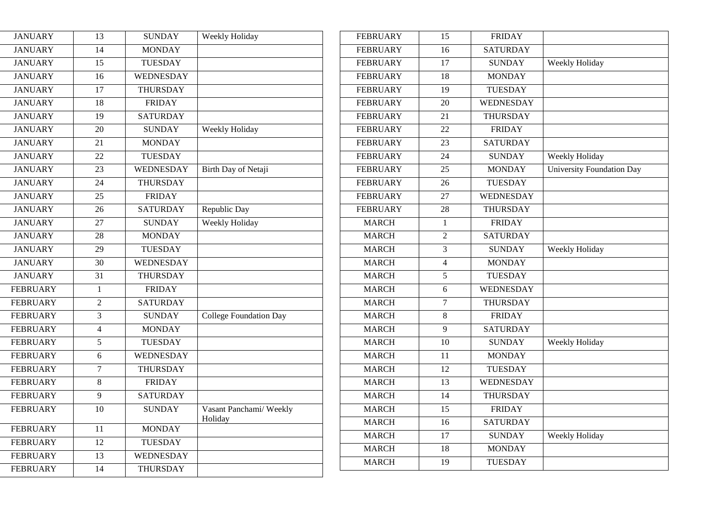| <b>JANUARY</b>  | 13              | <b>SUNDAY</b>    | Weekly Holiday                | <b>FEBRUARY</b> | 15              | <b>FRIDAY</b>   |                           |
|-----------------|-----------------|------------------|-------------------------------|-----------------|-----------------|-----------------|---------------------------|
| <b>JANUARY</b>  | 14              | <b>MONDAY</b>    |                               | <b>FEBRUARY</b> | 16              | <b>SATURDAY</b> |                           |
| <b>JANUARY</b>  | 15              | <b>TUESDAY</b>   |                               | <b>FEBRUARY</b> | 17              | <b>SUNDAY</b>   | Weekly Holiday            |
| <b>JANUARY</b>  | 16              | WEDNESDAY        |                               | <b>FEBRUARY</b> | $18\,$          | <b>MONDAY</b>   |                           |
| <b>JANUARY</b>  | 17              | <b>THURSDAY</b>  |                               | <b>FEBRUARY</b> | 19              | <b>TUESDAY</b>  |                           |
| <b>JANUARY</b>  | 18              | <b>FRIDAY</b>    |                               | <b>FEBRUARY</b> | 20              | WEDNESDAY       |                           |
| <b>JANUARY</b>  | 19              | <b>SATURDAY</b>  |                               | <b>FEBRUARY</b> | 21              | <b>THURSDAY</b> |                           |
| <b>JANUARY</b>  | $20\,$          | <b>SUNDAY</b>    | Weekly Holiday                | <b>FEBRUARY</b> | $22\,$          | <b>FRIDAY</b>   |                           |
| <b>JANUARY</b>  | 21              | <b>MONDAY</b>    |                               | <b>FEBRUARY</b> | 23              | <b>SATURDAY</b> |                           |
| <b>JANUARY</b>  | $\overline{22}$ | <b>TUESDAY</b>   |                               | <b>FEBRUARY</b> | $\overline{24}$ | <b>SUNDAY</b>   | Weekly Holiday            |
| <b>JANUARY</b>  | 23              | WEDNESDAY        | Birth Day of Netaji           | <b>FEBRUARY</b> | 25              | <b>MONDAY</b>   | University Foundation Day |
| <b>JANUARY</b>  | 24              | <b>THURSDAY</b>  |                               | <b>FEBRUARY</b> | 26              | <b>TUESDAY</b>  |                           |
| <b>JANUARY</b>  | 25              | <b>FRIDAY</b>    |                               | <b>FEBRUARY</b> | 27              | WEDNESDAY       |                           |
| <b>JANUARY</b>  | 26              | <b>SATURDAY</b>  | Republic Day                  | <b>FEBRUARY</b> | 28              | <b>THURSDAY</b> |                           |
| <b>JANUARY</b>  | 27              | <b>SUNDAY</b>    | Weekly Holiday                | <b>MARCH</b>    | 1               | <b>FRIDAY</b>   |                           |
| <b>JANUARY</b>  | 28              | <b>MONDAY</b>    |                               | <b>MARCH</b>    | $\overline{2}$  | <b>SATURDAY</b> |                           |
| <b>JANUARY</b>  | 29              | <b>TUESDAY</b>   |                               | <b>MARCH</b>    | $\mathfrak{Z}$  | <b>SUNDAY</b>   | Weekly Holiday            |
| <b>JANUARY</b>  | $\overline{30}$ | <b>WEDNESDAY</b> |                               | <b>MARCH</b>    | $\overline{4}$  | <b>MONDAY</b>   |                           |
| <b>JANUARY</b>  | 31              | <b>THURSDAY</b>  |                               | <b>MARCH</b>    | 5               | <b>TUESDAY</b>  |                           |
| <b>FEBRUARY</b> | -1              | <b>FRIDAY</b>    |                               | <b>MARCH</b>    | 6               | WEDNESDAY       |                           |
| <b>FEBRUARY</b> | $\overline{2}$  | <b>SATURDAY</b>  |                               | <b>MARCH</b>    | $\tau$          | <b>THURSDAY</b> |                           |
| <b>FEBRUARY</b> | 3               | <b>SUNDAY</b>    | <b>College Foundation Day</b> | <b>MARCH</b>    | 8               | <b>FRIDAY</b>   |                           |
| <b>FEBRUARY</b> | $\overline{4}$  | <b>MONDAY</b>    |                               | <b>MARCH</b>    | 9               | <b>SATURDAY</b> |                           |
| <b>FEBRUARY</b> | 5               | <b>TUESDAY</b>   |                               | <b>MARCH</b>    | 10              | <b>SUNDAY</b>   | Weekly Holiday            |
| <b>FEBRUARY</b> | 6               | WEDNESDAY        |                               | <b>MARCH</b>    | 11              | <b>MONDAY</b>   |                           |
| <b>FEBRUARY</b> | $\overline{7}$  | <b>THURSDAY</b>  |                               | <b>MARCH</b>    | 12              | <b>TUESDAY</b>  |                           |
| <b>FEBRUARY</b> | $\,8\,$         | <b>FRIDAY</b>    |                               | <b>MARCH</b>    | $\overline{13}$ | WEDNESDAY       |                           |
| <b>FEBRUARY</b> | 9               | <b>SATURDAY</b>  |                               | <b>MARCH</b>    | 14              | <b>THURSDAY</b> |                           |
| <b>FEBRUARY</b> | 10              | <b>SUNDAY</b>    | Vasant Panchami/ Weekly       | <b>MARCH</b>    | 15              | <b>FRIDAY</b>   |                           |
| <b>FEBRUARY</b> | 11              | <b>MONDAY</b>    | Holiday                       | <b>MARCH</b>    | 16              | <b>SATURDAY</b> |                           |
| <b>FEBRUARY</b> | $\overline{12}$ | <b>TUESDAY</b>   |                               | <b>MARCH</b>    | 17              | <b>SUNDAY</b>   | Weekly Holiday            |
| <b>FEBRUARY</b> |                 | WEDNESDAY        |                               | <b>MARCH</b>    | 18              | <b>MONDAY</b>   |                           |
|                 | 13              |                  |                               | <b>MARCH</b>    | 19              | <b>TUESDAY</b>  |                           |
| <b>FEBRUARY</b> | 14              | THURSDAY         |                               |                 |                 |                 |                           |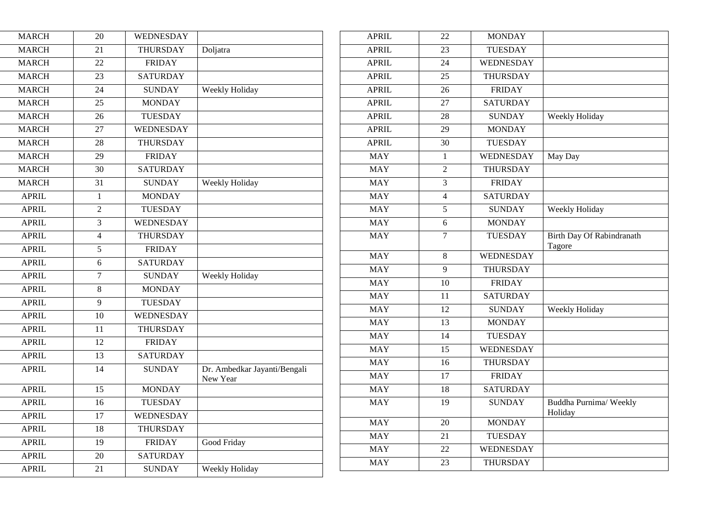| <b>MARCH</b> | 20              | WEDNESDAY        |                                          |
|--------------|-----------------|------------------|------------------------------------------|
| <b>MARCH</b> | 21              | THURSDAY         | Doljatra                                 |
| <b>MARCH</b> | 22              | <b>FRIDAY</b>    |                                          |
| <b>MARCH</b> | $\overline{23}$ | <b>SATURDAY</b>  |                                          |
| <b>MARCH</b> | 24              | <b>SUNDAY</b>    | Weekly Holiday                           |
| <b>MARCH</b> | $\overline{25}$ | <b>MONDAY</b>    |                                          |
| <b>MARCH</b> | 26              | <b>TUESDAY</b>   |                                          |
| <b>MARCH</b> | 27              | <b>WEDNESDAY</b> |                                          |
| <b>MARCH</b> | 28              | <b>THURSDAY</b>  |                                          |
| <b>MARCH</b> | 29              | <b>FRIDAY</b>    |                                          |
| <b>MARCH</b> | 30              | <b>SATURDAY</b>  |                                          |
| <b>MARCH</b> | 31              | <b>SUNDAY</b>    | <b>Weekly Holiday</b>                    |
| <b>APRIL</b> | $\mathbf{1}$    | <b>MONDAY</b>    |                                          |
| <b>APRIL</b> | $\overline{2}$  | <b>TUESDAY</b>   |                                          |
| <b>APRIL</b> | 3               | <b>WEDNESDAY</b> |                                          |
| <b>APRIL</b> | 4               | <b>THURSDAY</b>  |                                          |
| <b>APRIL</b> | 5               | <b>FRIDAY</b>    |                                          |
| <b>APRIL</b> | 6               | <b>SATURDAY</b>  |                                          |
| <b>APRIL</b> | 7               | <b>SUNDAY</b>    | Weekly Holiday                           |
| <b>APRIL</b> | 8               | <b>MONDAY</b>    |                                          |
| <b>APRIL</b> | $\overline{9}$  | <b>TUESDAY</b>   |                                          |
| <b>APRIL</b> | 10              | <b>WEDNESDAY</b> |                                          |
| <b>APRIL</b> | 11              | <b>THURSDAY</b>  |                                          |
| <b>APRIL</b> | 12              | <b>FRIDAY</b>    |                                          |
| <b>APRIL</b> | 13              | <b>SATURDAY</b>  |                                          |
| <b>APRIL</b> | 14              | <b>SUNDAY</b>    | Dr. Ambedkar Jayanti/Bengali<br>New Year |
| <b>APRIL</b> | 15              | <b>MONDAY</b>    |                                          |
| <b>APRIL</b> | 16              | <b>TUESDAY</b>   |                                          |
| <b>APRIL</b> | 17              | WEDNESDAY        |                                          |
| <b>APRIL</b> | 18              | <b>THURSDAY</b>  |                                          |
| <b>APRIL</b> | 19              | <b>FRIDAY</b>    | Good Friday                              |
| <b>APRIL</b> | 20              | <b>SATURDAY</b>  |                                          |
| <b>APRIL</b> | 21              | <b>SUNDAY</b>    | Weekly Holiday                           |
|              |                 |                  |                                          |

| <b>APRIL</b> | 22              | <b>MONDAY</b>    |                                     |
|--------------|-----------------|------------------|-------------------------------------|
| <b>APRIL</b> | 23              | <b>TUESDAY</b>   |                                     |
| <b>APRIL</b> | 24              | WEDNESDAY        |                                     |
| <b>APRIL</b> | $\overline{25}$ | <b>THURSDAY</b>  |                                     |
| <b>APRIL</b> | 26              | <b>FRIDAY</b>    |                                     |
| <b>APRIL</b> | $\overline{27}$ | <b>SATURDAY</b>  |                                     |
| <b>APRIL</b> | 28              | <b>SUNDAY</b>    | <b>Weekly Holiday</b>               |
| <b>APRIL</b> | 29              | <b>MONDAY</b>    |                                     |
| <b>APRIL</b> | 30              | <b>TUESDAY</b>   |                                     |
| <b>MAY</b>   | 1               | <b>WEDNESDAY</b> | May Day                             |
| <b>MAY</b>   | $\overline{2}$  | <b>THURSDAY</b>  |                                     |
| <b>MAY</b>   | $\overline{3}$  | <b>FRIDAY</b>    |                                     |
| <b>MAY</b>   | $\overline{4}$  | <b>SATURDAY</b>  |                                     |
| <b>MAY</b>   | $\overline{5}$  | <b>SUNDAY</b>    | Weekly Holiday                      |
| <b>MAY</b>   | 6               | <b>MONDAY</b>    |                                     |
| <b>MAY</b>   | $\overline{7}$  | <b>TUESDAY</b>   | Birth Day Of Rabindranath<br>Tagore |
| <b>MAY</b>   | $\,8\,$         | WEDNESDAY        |                                     |
| <b>MAY</b>   | 9               | <b>THURSDAY</b>  |                                     |
| <b>MAY</b>   | 10              | <b>FRIDAY</b>    |                                     |
| <b>MAY</b>   | 11              | <b>SATURDAY</b>  |                                     |
| <b>MAY</b>   | 12              | <b>SUNDAY</b>    | <b>Weekly Holiday</b>               |
| <b>MAY</b>   | 13              | <b>MONDAY</b>    |                                     |
| <b>MAY</b>   | $\overline{14}$ | <b>TUESDAY</b>   |                                     |
| <b>MAY</b>   | 15              | <b>WEDNESDAY</b> |                                     |
| <b>MAY</b>   | 16              | <b>THURSDAY</b>  |                                     |
| <b>MAY</b>   | 17              | <b>FRIDAY</b>    |                                     |
| <b>MAY</b>   | $\overline{18}$ | <b>SATURDAY</b>  |                                     |
| <b>MAY</b>   | 19              | <b>SUNDAY</b>    | Buddha Purnima/ Weekly<br>Holiday   |
| <b>MAY</b>   | 20              | <b>MONDAY</b>    |                                     |
| <b>MAY</b>   | 21              | <b>TUESDAY</b>   |                                     |
| <b>MAY</b>   | $\overline{22}$ | WEDNESDAY        |                                     |
| <b>MAY</b>   | 23              | <b>THURSDAY</b>  |                                     |